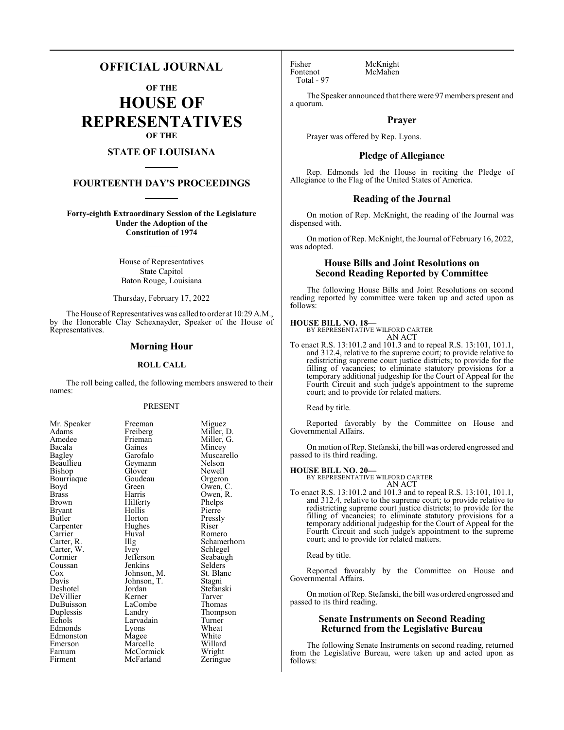# **OFFICIAL JOURNAL**

**OF THE**

**HOUSE OF REPRESENTATIVES OF THE**

# **STATE OF LOUISIANA**

# **FOURTEENTH DAY'S PROCEEDINGS**

**Forty-eighth Extraordinary Session of the Legislature Under the Adoption of the Constitution of 1974**

> House of Representatives State Capitol Baton Rouge, Louisiana

Thursday, February 17, 2022

The House of Representatives was called to order at 10:29 A.M., by the Honorable Clay Schexnayder, Speaker of the House of Representatives.

#### **Morning Hour**

## **ROLL CALL**

The roll being called, the following members answered to their names:

#### PRESENT

en Adams Freiberg Miller, D.<br>Amedee Frieman Miller, G. Amedee Frieman Miller, G.<br>Bacala Gaines Mincey Bacala Gaines Mincey<br>Bagley Garofalo Muscar Bagley Garofalo Muscarello Beaullieu Geymann Nelson Bourriaque Goude<br>Boyd Green Boyd Green Owen, C.<br>Brass Harris Owen R Brass Harris Owen, R. Bryant Hollis<br>Butler Horton Carpenter Carrier Huval Romero<br>Carter, R. Illg Schame! Carter, W. Ivey<br>Cormier Jefferson Cormier Jefferson Seabaugh<br>Coussan Jenkins Selders Coussan Jenkins Selders<br>
Cox Johnson, M. St. Blanc Cox Johnson, M. St. Blanch<br>Davis Johnson, T. Stagni Davis Johnson, T.<br>Deshotel Jordan DeVillier Kerner Tarver<br>
DuBuisson LaCombe Thomas DuBuisson LaCom<br>Duplessis Landry Duplessis Landry Thompson<br>
Echols Larvadain Turner Edmonds Lyons Wheat<br>
Edmonston Magee White Edmonston Magee White<br>
Emerson Marcelle Willard Emerson Marcelle Willard<br>Farnum McCormick Wright Farnum McCormick Wright<br>
Firment McFarland Zeringue

Mr. Speaker Freeman Miguez<br>Adams Freiberg Miller, 1 Glover Newell<br>Goudeau Orgeron Hilferty Phelps<br>Hollis Pierre Horton Pressly<br>Hughes Riser Jordan Stefanski<br>Kerner Tarver Larvadain Turner<br>Lyons Wheat McFarland

Illg Schamerhorn<br>Ivey Schlegel

Fisher McKnight<br>Fontenot McMahen Total - 97

McMahen

The Speaker announced that there were 97 members present and a quorum.

#### **Prayer**

Prayer was offered by Rep. Lyons.

### **Pledge of Allegiance**

Rep. Edmonds led the House in reciting the Pledge of Allegiance to the Flag of the United States of America.

#### **Reading of the Journal**

On motion of Rep. McKnight, the reading of the Journal was dispensed with.

On motion ofRep. McKnight, the Journal of February 16, 2022, was adopted.

# **House Bills and Joint Resolutions on Second Reading Reported by Committee**

The following House Bills and Joint Resolutions on second reading reported by committee were taken up and acted upon as follows:

#### **HOUSE BILL NO. 18—**

BY REPRESENTATIVE WILFORD CARTER AN ACT

To enact R.S. 13:101.2 and 101.3 and to repeal R.S. 13:101, 101.1, and 312.4, relative to the supreme court; to provide relative to redistricting supreme court justice districts; to provide for the filling of vacancies; to eliminate statutory provisions for a temporary additional judgeship for the Court of Appeal for the Fourth Circuit and such judge's appointment to the supreme court; and to provide for related matters.

Read by title.

Reported favorably by the Committee on House and Governmental Affairs.

On motion ofRep. Stefanski, the bill was ordered engrossed and passed to its third reading.

**HOUSE BILL NO. 20—** BY REPRESENTATIVE WILFORD CARTER AN ACT

To enact R.S. 13:101.2 and 101.3 and to repeal R.S. 13:101, 101.1, and 312.4, relative to the supreme court; to provide relative to redistricting supreme court justice districts; to provide for the filling of vacancies; to eliminate statutory provisions for a temporary additional judgeship for the Court of Appeal for the Fourth Circuit and such judge's appointment to the supreme court; and to provide for related matters.

Read by title.

Reported favorably by the Committee on House and Governmental Affairs.

On motion of Rep. Stefanski, the bill was ordered engrossed and passed to its third reading.

# **Senate Instruments on Second Reading Returned from the Legislative Bureau**

The following Senate Instruments on second reading, returned from the Legislative Bureau, were taken up and acted upon as follows: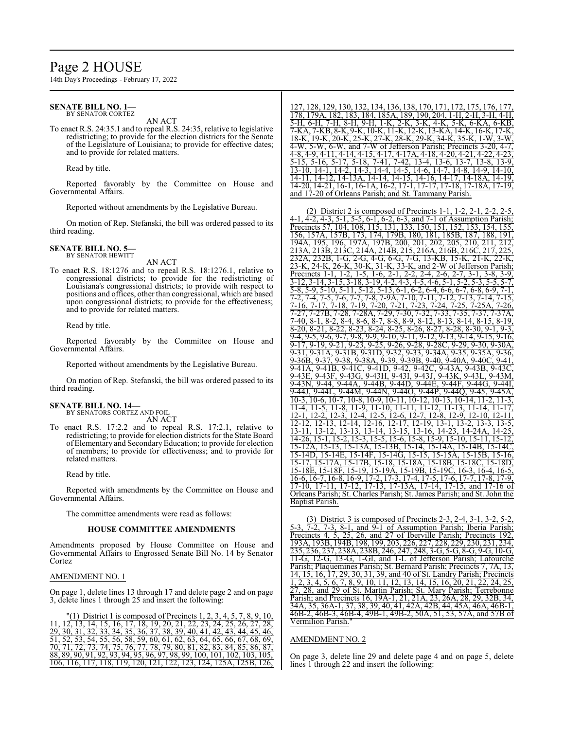# Page 2 HOUSE

14th Day's Proceedings - February 17, 2022

#### **SENATE BILL NO. 1—** BY SENATOR CORTEZ

AN ACT

To enact R.S. 24:35.1 and to repeal R.S. 24:35, relative to legislative redistricting; to provide for the election districts for the Senate of the Legislature of Louisiana; to provide for effective dates; and to provide for related matters.

Read by title.

Reported favorably by the Committee on House and Governmental Affairs.

Reported without amendments by the Legislative Bureau.

On motion of Rep. Stefanski, the bill was ordered passed to its third reading.

#### **SENATE BILL NO. 5—** BY SENATOR HEWITT

AN ACT

To enact R.S. 18:1276 and to repeal R.S. 18:1276.1, relative to congressional districts; to provide for the redistricting of Louisiana's congressional districts; to provide with respect to positions and offices, other than congressional, which are based upon congressional districts; to provide for the effectiveness; and to provide for related matters.

Read by title.

Reported favorably by the Committee on House and Governmental Affairs.

Reported without amendments by the Legislative Bureau.

On motion of Rep. Stefanski, the bill was ordered passed to its third reading.

#### **SENATE BILL NO. 14—** BY SENATORS CORTEZ AND FOIL

AN ACT

To enact R.S. 17:2.2 and to repeal R.S. 17:2.1, relative to redistricting; to provide for election districts for the State Board of Elementary and SecondaryEducation; to provide for election of members; to provide for effectiveness; and to provide for related matters.

Read by title.

Reported with amendments by the Committee on House and Governmental Affairs.

The committee amendments were read as follows:

#### **HOUSE COMMITTEE AMENDMENTS**

Amendments proposed by House Committee on House and Governmental Affairs to Engrossed Senate Bill No. 14 by Senator Cortez

### AMENDMENT NO. 1

On page 1, delete lines 13 through 17 and delete page 2 and on page 3, delete lines 1 through 25 and insert the following:

 $(1)$  District 1 is composed of Precincts 1, 2, 3, 4, 5, 7, 8, 9, 10, 11, 12, 13, 14, 15, 16, 17, 18, 19, 20, 21, 22, 23, 24, 25, 26, 27, 28, 29, 30, 31, 32, 33, 34, 35, 36, 37, 38, 39, 40, 41, 42, 43, 44, 45, 46, 51, 52, 53, 54, 55, 56, 58, 59, 60, 61, 62, 63, 64, 65, 66, 67, 68, 69, 70, 71, 72, 73, 74, 75, 76, 77, 78, 79, 80, 81, 82, 83, 84, 85, 86, 87, 88, 89, 90, 91, 92, 93, 94, 95, 96, 97, 98, 99, 100, 101, 102, 103, 105, 106, 116, 117, 118, 119, 120, 121, 122, 123, 124, 125A, 125B, 126,

127, 128, 129, 130, 132, 134, 136, 138, 170, 171, 172, 175, 176, 177, 178, 179A, 182, 183, 184, 185A, 189, 190, 204, 1-H, 2-H, 3-H, 4-H, 5-H, 6-H, 7-H, 8-H, 9-H, 1-K, 2-K, 3-K, 4-K, 5-K, 6-KA, 6-KB,<br>7-KA, 7-KB, 8-K, 9-K, 10-K, 11-K, 12-K, 13-KA, 14-K, 16-K, 17-K, 7-KA, 7-KB, 8-K, 9-K, 10-K, 11-K, 12-K, 13-KA, 14-K, 16-K, 17-K, 18-K, 19-K, 20-K, 25-K, 27-K, 28-K, 29-K, 34-K, 35-K, 1-W, 3-W,  $\overline{6}$ -W,  $\overline{6}$ -W, and  $\overline{7}$ -W of Jefferson Parish; Precincts 3-20, 4-8, 4-9, 4-11, 4-14, 4-15, 4-17, 4-17A, 4-18, 4-20, 4-21, 4-22, 4-23, 5-15, 5-16, 5-17, 5-18, 7-41, 7-42, 13-4, 13-6, 13-7, 13-8, 13-9, 13-10, 14-1, 14-2, 14-3, 14-4, 14-5, 14-6, 14-7, 14-8, 14-9, 14-10, 14-11, 14-12, 14-13A, 14-14, 14-15, 14-16, 14-17, 14-18A, 14-19, 14-20, 14-21, 16-1, 16-1A, 16-2, 17-1, 17-17, 17-18, 17-18A, 17-19, and 17-20 of Orleans Parish; and St. Tammany Parish.

(2) District 2 is composed of Precincts  $1-1$ ,  $1-2$ ,  $2-1$ ,  $2-2$ 4-1, 4-2, 4-3, 5-1, 5-5, 6-1, 6-2, 6-3, and 7-1 of Assumption Parish; Precincts 57, 104, 108, 115, 131, 133, 150, 151, 152, 153, 154, 155, 156, 157A, 157B, 173, 174, 179B, 180, 181, 185B, 187, 188, 191,<br>194A, 195, 196, 197A, 197B, 200, 201, 202, 205, 210, 211, 212, , 196, 197A, 197B, 200, 201, 202 213A, 213B, 213C, 214A, 214B, 215, 216A, 216B, 216C, 217,<br>232A, 232B, 1-G, 2-G, 4-G, 6-G, 7-G, 13-KB, 15-K, 21-K, 2 232A, 232B, 1-G, 2-G, 4-G, 6-G, 7-G, 13-KB, 15-K, 21-K, 22-K, 23-K, 24-K, 26-K, 30-K, 31-K, 33-K, and 2-W of Jefferson Parish; Precincts 1-1, 1-2, 1-5, 1-6, 2-1, 2-2, 2-4, 2-6, 2-7, 3-1, 3-8, 3-9, 3-12, 3-14, 3-15, 3-18, 3-19, 4-2, 4-3, 4-5, 4-6, 5-1, 5-2, 5-3, 5-5, 5-7, 5-8, 5-9, 5-10, 5-11, 5-12, 5-13, 6-1, 6-2, 6-4, 6-6, 6-7, 6-8, 6-9, 7-1,<br>5-8, 5-9, 5-10, 5-11, 5-12, 5-13, 6-1, 6-2, 6-4, 6-6, 6-7, 6-8, 6-9, 7-1,<br>7-2, 7-4, 7-5, 7-6, 7-7, 7-8, 7-9A, 7-10, 7-11, 7-12, 7-13, 7-14, 7-15, 7-2, 7-4, 7-5, 7-6, 7-7, 7-8, 7-9A, 7-10, 7-11, 7-12, 7-13, 7-14, 7-15, 7-16, 7-17, 7-18, 7-19, 7-20, 7-21, 7-23, 7-24, 7-25, 7-25A, 7-26, 7-27, 7-27B, 7-28, 7-28A, 7-29, 7-30, 7-32, 7-33, 7-35, 7-37, 7-37A, 7-40, 8-1, 8-2, 8-4, 8-6, 8-7, 8-8, 8-9, 8-12, 8-13, 8-14, 8-15, 8-19, 8-20, 8-21, 8-22, 8-23, 8-24, 8-25, 8-26, 8-27, 8-28, 8-30, 9-1, 9-3, 9-4, 9-5, 9-6, 9-7, 9-8, 9-9, 9-10, 9-11, 9-12, 9-13, 9-14, 9-15, 9-16, 9-17, 9-19, 9-21, 9-23, 9-25, 9-26, 9-28, 9-28C, 9-29, 9-30, 9-30A, 9-31, 9-31A, 9-31B, 9-31D, 9-32, 9-33, 9-34A, 9-35, 9-35A, 9-36, 9-36B, 9-37, 9-38, 9-38A, 9-39, 9-39B, 9-40, 9-40A, 9-40C, 9-41, 9-41A, 9-41B, 9-41C, 9-41D, 9-42, 9-42C, 9-43A, 9-43B, 9-43C, 9-43E, 9-43F, 9-43G, 9-43H, 9-43I, 9-43J, 9-43K, 9-43L, 9-43M, 9-43N, 9-44, 9-44A, 9-44B, 9-44D, 9-44E, 9-44F, 9-44G, 9-44I, 9-44J, 9-44L, 9-44M, 9-44N, 9-44O, 9-44P, 9-44Q, 9-45, 9-45A, 10-3, 10-6, 10-7, 10-8, 10-9, 10-11, 10-12, 10-13, 10-14, 11-2, 11-3, 11-4, 11-5, 11-8, 11-9, 11-10, 11-11, 11-12, 11-13, 11-14, 11-17, 12-1, 12-2, 12-3, 12-4, 12-5, 12-6, 12-7, 12-8, 12-9, 12-10, 12-11, 12-12, 12-13, 12-14, 12-16, 12-17, 12-19, 13-1, 13-2, 13-3, 13-5, 13-11, 13-12, 13-13, 13-14, 13-15, 13-16, 14-23, 14-24A, 14-25, 14-26, 15-1, 15-2, 15-3, 15-5, 15-6, 15-8, 15-9, 15-10, 15-11, 15-12, 15-12A, 15-13, 15-13A, 15-13B, 15-14, 15-14A, 15-14B, 15-14C, 15-14D, 15-14E, 15-14F, 15-14G, 15-15, 15-15A, 15-15B, 15-16, 15-17, 15-17A, 15-17B, 15-18, 15-18A, 15-18B, 15-18C, 15-18D, 15-18E, 15-18F, 15-19, 15-19A, 15-19B, 15-19C, 16-3, 16-4, 16-5, 16-6, 16-7, 16-8, 16-9, 17-2, 17-3, 17-4, 17-5, 17-6, 17-7, 17-8, 17-9, 17-10, 17-11, 17-12, 17-13, 17-13A, 17-14, 17-15, and 17-16 of Orleans Parish; St. Charles Parish; St. James Parish; and St. John the Baptist Parish.

(3) District 3 is composed of Precincts 2-3, 2-4, 3-1, 3-2, 5-2, 5-3, 7-2, 7-3, 8-1, and 9-1 of Assumption Parish; Iberia Parish; Precincts 4, 5, 25, 26, and 27 of Iberville Parish; Precincts 192, 193A, 193B, 194B, 198, 199, 203, 226, 227, 228, 229, 230, 231, 234, 235, 236, 237, 238A, 238B, 246, 247, 248, 3-G, 5-G, 8-G, 9-G, 10-G, 11-G, 12-G, 13-G, 1-GI, and 1-L of Jefferson Parish; Lafourche Parish; Plaquemines Parish; St. Bernard Parish; Precincts 7, 7A, 13, 14, 15, 16, 17, 29, 30, 31, 39, and 40 of St. Landry Parish; Precincts 1, 2, 3, 4, 5, 6, 7, 8, 9, 10, 11, 12, 13, 14, 15, 16, 20, 21, 22, 24, 25, 27, 28, and 29 of St. Martin Parish; St. Mary Parish; Terrebonne Parish; and Precincts 16, 19A-1, 21, 21A, 23, 26A, 28, 29, 32B, 34, 34A, 35, 36A-1, 37, 38, 39, 40, 41, 42A, 42B, 44, 45A, 46A, 46B-1, 46B-2, 46B-3, 46B-4, 49B-1, 49B-2, 50A, 51, 53, 57A, and 57B of Vermilion Parish."

#### AMENDMENT NO. 2

On page 3, delete line 29 and delete page 4 and on page 5, delete lines 1 through 22 and insert the following: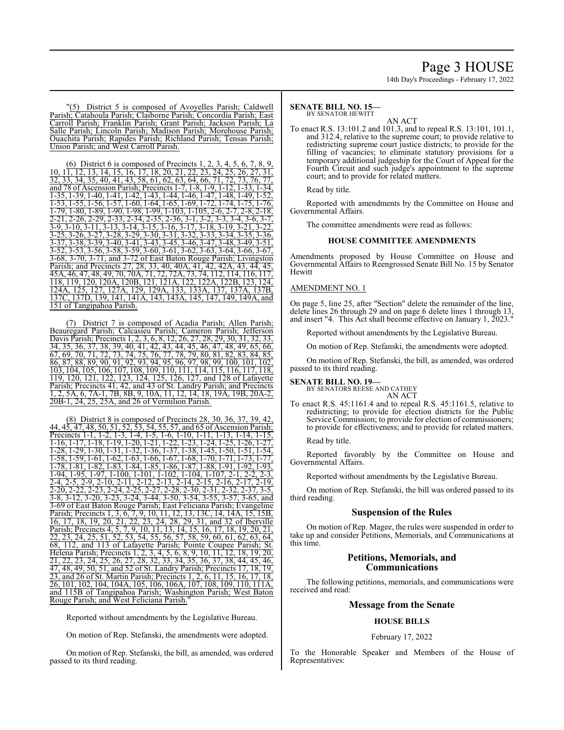# Page 3 HOUSE

14th Day's Proceedings - February 17, 2022

"(5) District 5 is composed of Avoyelles Parish; Caldwell Parish; Catahoula Parish; Claiborne Parish; Concordia Parish; East Carroll Parish; Franklin Parish; Grant Parish; Jackson Parish; La Salle Parish; Lincoln Parish; Madison Parish; Morehouse Parish; Ouachita Parish; Rapides Parish; Richland Parish; Tensas Parish; Union Parish; and West Carroll Parish.

(6) District 6 is composed of Precincts 1, 2, 3, 4, 5, 6, 7, 8, 9, 10, 11, 12, 13, 14, 15, 16, 17, 18, 20, 21, 22, 23, 24, 25, 26, 27, 31, 32, 33, 34, 35, 40, 41, 43, 58, 61, 62, 63, 64, 66, 71, 72, 73, 76, 77, and 78 of Ascension Parish; Precincts 1-7, 1-8, 1-9, 1-12, 1-33, 1-34, 1-35, 1-39, 1-40, 1-41, 1-42, 1-43, 1-44, 1-46, 1-47, 1-48, 1-49, 1-52, 1-53, 1-55, 1-56, 1-57, 1-60, 1-64, 1-65, 1-69, 1-72, 1-74, 1-75, 1-76, 1-79, 1-80, 1-89, 1-90, 1-98, 1-99, 1-103, 1-105, 2-6, 2-7, 2-8, 2-18, 2-21, 2-26, 2-29, 2-33, 2-34, 2-35, 2-36, 3-1, 3-2, 3-3, 3-4, 3-6, 3-7, 3-9, 3-10, 3-11, 3-13, 3-14, 3-15, 3-16, 3-17, 3-18, 3-19, 3-21, 3-22, 3-25, 3-26, 3-27, 3-28, 3-29, 3-30, 3-31, 3-32, 3-33, 3-34, 3-35, 3-36, 3-37, 3-38, 3-39, 3-40, 3-41, 3-43, 3-45, 3-46, 3-47, 3-48, 3-49, 3-51, 3-52, 3-53, 3-56, 3-58, 3-59, 3-60, 3-61, 3-62, 3-63, 3-64, 3-66, 3-67, 3-68, 3-70, 3-71, and 3-72 of East Baton Rouge Parish; Livingston Parish; and Precincts 27, 28, 33, 40, 40A, 41, 42, 42A, 43, 44, 45, 45A, 46, 47, 48, 49, 70, 70A, 71, 72, 72A, 73, 74, 112, 114, 116, 117, 118, 119, 120, 120A, 120B, 121, 121A, 122, 122A, 122B, 123, 124, 124A, 125, 127, 127A, 129, 129A, 133, 133A, 137, 137A, 137B, 137C, 137D, 139, 141, 141A, 143, 143A, 145, 147, 149, 149A, and 151 of Tangipahoa Parish.

(7) District 7 is composed of Acadia Parish; Allen Parish; Beauregard Parish; Calcasieu Parish; Cameron Parish; Jefferson Davis Parish; Precincts 1, 2, 3, 6, 8, 12, 26, 27, 28, 29, 30, 31, 32, 33, 34, 35, 36, 37, 38, 39, 40, 41, 42, 43, 44, 45, 46, 47, 48, 49, 65, 66, 67, 69, 70, 71, 72, 73, 74, 75, 76, 77, 78, 79, 80, 81, 82, 83, 84, 85, 86, 87, 88, 89, 90, 91, 92, 93, 94, 95, 96, 97, 98, 99, 100, 101, 102, 103, 104, 105, 106, 107, 108, 109, 110, 111, 114, 115, 116, 117, 118, 119, 120, 121, 122, 123, 124, 125, 126, 127, and 128 of Lafayette Parish; Precincts 41, 42, and 43 of St. Landry Parish; and Precincts 1, 2, 5A, 6, 7A-1, 7B, 8B, 9, 10A, 11, 12, 14, 18, 19A, 19B, 20A-2, 20B-1, 24, 25, 25A, and 26 of Vermilion Parish.

(8) District 8 is composed of Precincts 28, 30, 36, 37, 39, 42, 44, 45, 47, 48, 50, 51, 52, 53, 54, 55, 57, and 65 of Ascension Parish; Precincts 1-1, 1-2, 1-3, 1-4, 1-5, 1-6, 1-10, 1-11, 1-13, 1-14, 1-15, 1-16, 1-17, 1-18, 1-19, 1-20, 1-21, 1-22, 1-23, 1-24, 1-25, 1-26, 1-27, 1-28, 1-29, 1-30, 1-31, 1-32, 1-36, 1-37, 1-38, 1-45, 1-50, 1-51, 1-54, 1-58, 1-59, 1-61, 1-62, 1-63, 1-66, 1-67, 1-68, 1-70, 1-71, 1-73, 1-77, 1-78, 1-81, 1-82, 1-83, 1-84, 1-85, 1-86, 1-87, 1-88, 1-91, 1-92, 1-93, 1-94, 1-95, 1-97, 1-100, 1-101, 1-102, 1-104, 1-107, 2-1, 2-2, 2-3, 2-4, 2-5, 2-9, 2-10, 2-11, 2-12, 2-13, 2-14, 2-15, 2-16, 2-17, 2-19, 2-20, 2-22, 2-23, 2-24, 2-25, 2-27, 2-28, 2-30, 2-31, 2-32, 2-37, 3-5, 3-8, 3-12, 3-20, 3-23, 3-24, 3-44, 3-50, 3-54, 3-55, 3-57, 3-65, and 3-69 of East Baton Rouge Parish; East Feliciana Parish; Evangeline Parish; Precincts 1, 3, 6, 7, 9, 10, 11, 12, 13, 13C, 14, 14A, 15, 15B, 16, 17, 18, 19, 20, 21, 22, 23, 24, 28, 29, 31, and 32 of Iberville Parish; Precincts 4, 5, 7, 9, 10, 11, 13, 14, 15, 16, 17, 18, 19, 20, 21, 22, 23, 24, 25, 51, 52, 53, 54, 55, 56, 57, 58, 59, 60, 61, 62, 63, 64, 68, 112, and 113 of Lafayette Parish; Pointe Coupee Parish; St. and 113 of Lafayette Parish; Pointe Coupee Parish;  $\overline{\phantom{a}}$ Helena Parish; Precincts 1, 2, 3, 4, 5, 6, 8, 9, 10, 11, 12, 18, 19, 20, 21, 22, 23, 24, 25, 26, 27, 28, 32, 33, 34, 35, 36, 37, 38, 44, 45, 46, 47, 48, 49, 50, 51, and 52 of St. Landry Parish; Precincts 17, 18, 19, 23, and 26 of St. Martin Parish; Precincts 1, 2, 6, 11, 15, 16, 17, 18, 26, 101, 102, 104, 104A, 105, 106, 106A, 107, 108, 109, 110, 111A, and 115B of Tangipahoa Parish; Washington Parish; West Baton Rouge Parish; and West Feliciana Parish."

Reported without amendments by the Legislative Bureau.

On motion of Rep. Stefanski, the amendments were adopted.

On motion of Rep. Stefanski, the bill, as amended, was ordered passed to its third reading.

#### **SENATE BILL NO. 15—** BY SENATOR HEWITT

AN ACT

To enact R.S. 13:101.2 and 101.3, and to repeal R.S. 13:101, 101.1, and 312.4, relative to the supreme court; to provide relative to redistricting supreme court justice districts; to provide for the filling of vacancies; to eliminate statutory provisions for a temporary additional judgeship for the Court of Appeal for the Fourth Circuit and such judge's appointment to the supreme court; and to provide for related matters.

#### Read by title.

Reported with amendments by the Committee on House and Governmental Affairs.

The committee amendments were read as follows:

#### **HOUSE COMMITTEE AMENDMENTS**

Amendments proposed by House Committee on House and Governmental Affairs to Reengrossed Senate Bill No. 15 by Senator **Hewitt** 

# AMENDMENT NO. 1

On page 5, line 25, after "Section" delete the remainder of the line, delete lines 26 through 29 and on page 6 delete lines 1 through 13, and insert "4. This Act shall become effective on January 1, 2023."

Reported without amendments by the Legislative Bureau.

On motion of Rep. Stefanski, the amendments were adopted.

On motion of Rep. Stefanski, the bill, as amended, was ordered passed to its third reading.

**SENATE BILL NO. 19—**

BY SENATORS REESE AND CATHEY AN ACT

To enact R.S. 45:1161.4 and to repeal R.S. 45:1161.5, relative to redistricting; to provide for election districts for the Public Service Commission; to provide for election of commissioners; to provide for effectiveness; and to provide for related matters.

Read by title.

Reported favorably by the Committee on House and Governmental Affairs.

Reported without amendments by the Legislative Bureau.

On motion of Rep. Stefanski, the bill was ordered passed to its third reading.

## **Suspension of the Rules**

On motion of Rep. Magee, the rules were suspended in order to take up and consider Petitions, Memorials, and Communications at this time.

# **Petitions, Memorials, and Communications**

The following petitions, memorials, and communications were received and read:

## **Message from the Senate**

# **HOUSE BILLS**

#### February 17, 2022

To the Honorable Speaker and Members of the House of Representatives: